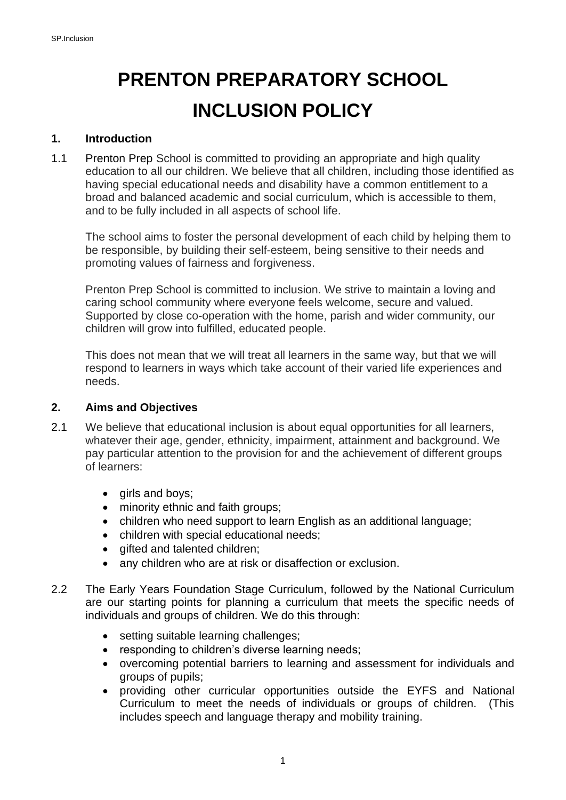# **PRENTON PREPARATORY SCHOOL INCLUSION POLICY**

#### **1. Introduction**

1.1 Prenton Prep School is committed to providing an appropriate and high quality education to all our children. We believe that all children, including those identified as having special educational needs and disability have a common entitlement to a broad and balanced academic and social curriculum, which is accessible to them, and to be fully included in all aspects of school life.

The school aims to foster the personal development of each child by helping them to be responsible, by building their self-esteem, being sensitive to their needs and promoting values of fairness and forgiveness.

Prenton Prep School is committed to inclusion. We strive to maintain a loving and caring school community where everyone feels welcome, secure and valued. Supported by close co-operation with the home, parish and wider community, our children will grow into fulfilled, educated people.

This does not mean that we will treat all learners in the same way, but that we will respond to learners in ways which take account of their varied life experiences and needs.

#### **2. Aims and Objectives**

- 2.1 We believe that educational inclusion is about equal opportunities for all learners, whatever their age, gender, ethnicity, impairment, attainment and background. We pay particular attention to the provision for and the achievement of different groups of learners:
	- girls and boys;
	- minority ethnic and faith groups;
	- children who need support to learn English as an additional language;
	- children with special educational needs;
	- gifted and talented children;
	- any children who are at risk or disaffection or exclusion.
- 2.2 The Early Years Foundation Stage Curriculum, followed by the National Curriculum are our starting points for planning a curriculum that meets the specific needs of individuals and groups of children. We do this through:
	- setting suitable learning challenges;
	- responding to children's diverse learning needs;
	- overcoming potential barriers to learning and assessment for individuals and groups of pupils;
	- providing other curricular opportunities outside the EYFS and National Curriculum to meet the needs of individuals or groups of children. (This includes speech and language therapy and mobility training.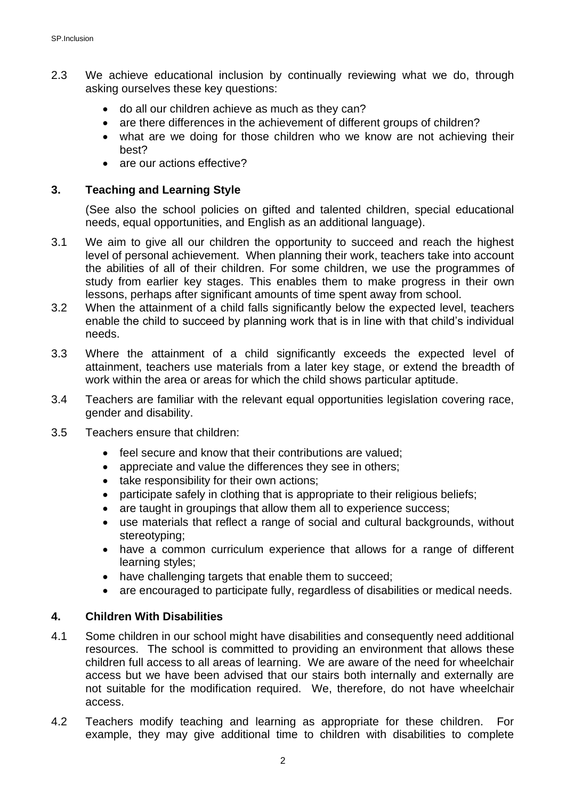- 2.3 We achieve educational inclusion by continually reviewing what we do, through asking ourselves these key questions:
	- do all our children achieve as much as they can?
	- are there differences in the achievement of different groups of children?
	- what are we doing for those children who we know are not achieving their best?
	- are our actions effective?

### **3. Teaching and Learning Style**

(See also the school policies on gifted and talented children, special educational needs, equal opportunities, and English as an additional language).

- 3.1 We aim to give all our children the opportunity to succeed and reach the highest level of personal achievement. When planning their work, teachers take into account the abilities of all of their children. For some children, we use the programmes of study from earlier key stages. This enables them to make progress in their own lessons, perhaps after significant amounts of time spent away from school.
- 3.2 When the attainment of a child falls significantly below the expected level, teachers enable the child to succeed by planning work that is in line with that child's individual needs.
- 3.3 Where the attainment of a child significantly exceeds the expected level of attainment, teachers use materials from a later key stage, or extend the breadth of work within the area or areas for which the child shows particular aptitude.
- 3.4 Teachers are familiar with the relevant equal opportunities legislation covering race, gender and disability.
- 3.5 Teachers ensure that children:
	- feel secure and know that their contributions are valued:
	- appreciate and value the differences they see in others;
	- take responsibility for their own actions;
	- participate safely in clothing that is appropriate to their religious beliefs;
	- are taught in groupings that allow them all to experience success;
	- use materials that reflect a range of social and cultural backgrounds, without stereotyping;
	- have a common curriculum experience that allows for a range of different learning styles;
	- have challenging targets that enable them to succeed;
	- are encouraged to participate fully, regardless of disabilities or medical needs.

#### **4. Children With Disabilities**

- 4.1 Some children in our school might have disabilities and consequently need additional resources. The school is committed to providing an environment that allows these children full access to all areas of learning. We are aware of the need for wheelchair access but we have been advised that our stairs both internally and externally are not suitable for the modification required. We, therefore, do not have wheelchair access.
- 4.2 Teachers modify teaching and learning as appropriate for these children. For example, they may give additional time to children with disabilities to complete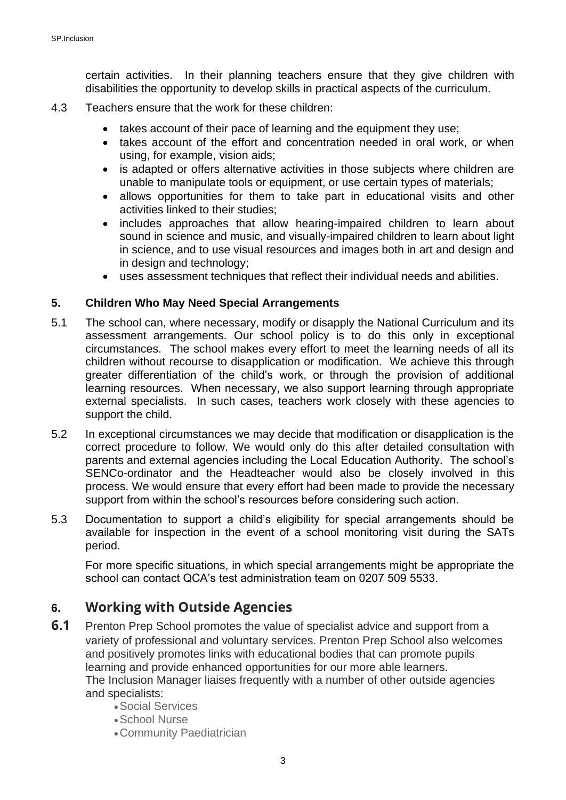certain activities. In their planning teachers ensure that they give children with disabilities the opportunity to develop skills in practical aspects of the curriculum.

- 4.3 Teachers ensure that the work for these children:
	- takes account of their pace of learning and the equipment they use;
	- takes account of the effort and concentration needed in oral work, or when using, for example, vision aids;
	- is adapted or offers alternative activities in those subjects where children are unable to manipulate tools or equipment, or use certain types of materials;
	- allows opportunities for them to take part in educational visits and other activities linked to their studies;
	- includes approaches that allow hearing-impaired children to learn about sound in science and music, and visually-impaired children to learn about light in science, and to use visual resources and images both in art and design and in design and technology;
	- uses assessment techniques that reflect their individual needs and abilities.

#### **5. Children Who May Need Special Arrangements**

- 5.1 The school can, where necessary, modify or disapply the National Curriculum and its assessment arrangements. Our school policy is to do this only in exceptional circumstances. The school makes every effort to meet the learning needs of all its children without recourse to disapplication or modification. We achieve this through greater differentiation of the child's work, or through the provision of additional learning resources. When necessary, we also support learning through appropriate external specialists. In such cases, teachers work closely with these agencies to support the child.
- 5.2 In exceptional circumstances we may decide that modification or disapplication is the correct procedure to follow. We would only do this after detailed consultation with parents and external agencies including the Local Education Authority. The school's SENCo-ordinator and the Headteacher would also be closely involved in this process. We would ensure that every effort had been made to provide the necessary support from within the school's resources before considering such action.
- 5.3 Documentation to support a child's eligibility for special arrangements should be available for inspection in the event of a school monitoring visit during the SATs period.

For more specific situations, in which special arrangements might be appropriate the school can contact QCA's test administration team on 0207 509 5533.

## **6. Working with Outside Agencies**

- **6.1** Prenton Prep School promotes the value of specialist advice and support from a variety of professional and voluntary services. Prenton Prep School also welcomes and positively promotes links with educational bodies that can promote pupils learning and provide enhanced opportunities for our more able learners. The Inclusion Manager liaises frequently with a number of other outside agencies and specialists:
	- •Social Services
	- •School Nurse
	- •Community Paediatrician